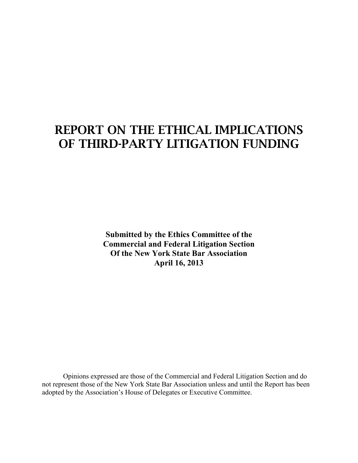# **REPORT ON THE ETHICAL IMPLICATIONS OF THIRD-PARTY LITIGATION FUNDING**

**Submitted by the Ethics Committee of the Commercial and Federal Litigation Section Of the New York State Bar Association April 16, 2013**

Opinions expressed are those of the Commercial and Federal Litigation Section and do not represent those of the New York State Bar Association unless and until the Report has been adopted by the Association's House of Delegates or Executive Committee.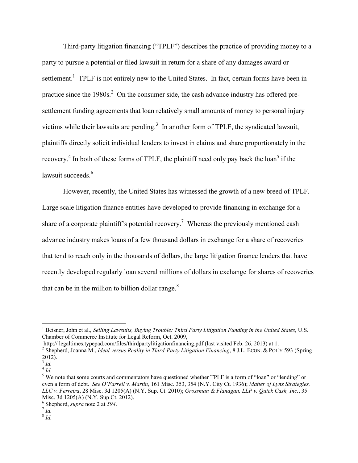Third-party litigation financing ("TPLF") describes the practice of providing money to a party to pursue a potential or filed lawsuit in return for a share of any damages award or settlement.<sup>1</sup> TPLF is not entirely new to the United States. In fact, certain forms have been in practice since the  $1980s$ <sup>2</sup>. On the consumer side, the cash advance industry has offered presettlement funding agreements that loan relatively small amounts of money to personal injury victims while their lawsuits are pending.<sup>3</sup> In another form of TPLF, the syndicated lawsuit, plaintiffs directly solicit individual lenders to invest in claims and share proportionately in the recovery.<sup>4</sup> In both of these forms of TPLF, the plaintiff need only pay back the loan<sup>5</sup> if the lawsuit succeeds $6$ 

However, recently, the United States has witnessed the growth of a new breed of TPLF. Large scale litigation finance entities have developed to provide financing in exchange for a share of a corporate plaintiff's potential recovery.<sup>7</sup> Whereas the previously mentioned cash advance industry makes loans of a few thousand dollars in exchange for a share of recoveries that tend to reach only in the thousands of dollars, the large litigation finance lenders that have recently developed regularly loan several millions of dollars in exchange for shares of recoveries that can be in the million to billion dollar range. $8$ 

<sup>1</sup> Beisner, John et al., *Selling Lawsuits, Buying Trouble: Third Party Litigation Funding in the United States*, U.S. Chamber of Commerce Institute for Legal Reform, Oct. 2009,

http:// legaltimes.typepad.com/files/thirdpartylitigationfinancing.pdf (last visited Feb. 26, 2013) at 1.

<sup>2</sup> Shepherd, Joanna M., *Ideal versus Reality in Third-Party Litigation Financing*, 8 J.L. ECON. & POL'Y 593 (Spring 2012).

<sup>3</sup> *Id.*

<sup>4</sup> *Id.*

<sup>&</sup>lt;sup>5</sup> We note that some courts and commentators have questioned whether TPLF is a form of "loan" or "lending" or even a form of debt. *See O'Farrell v. Martin*, 161 Misc. 353, 354 (N.Y. City Ct. 1936); *Matter of Lynx Strategies, LLC v. Ferreira*, 28 Misc. 3d 1205(A) (N.Y. Sup. Ct. 2010); *Grossman & Flanagan, LLP v. Quick Cash, Inc.*, 35 Misc. 3d 1205(A) (N.Y. Sup Ct. 2012).

<sup>6</sup> Shepherd, *supra* note 2 at *594*.

<sup>7</sup> *Id.*

<sup>8</sup> *Id.*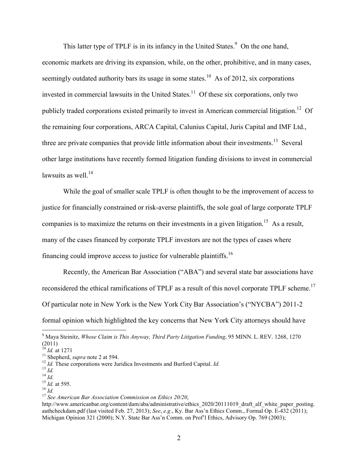This latter type of TPLF is in its infancy in the United States.<sup>9</sup> On the one hand, economic markets are driving its expansion, while, on the other, prohibitive, and in many cases, seemingly outdated authority bars its usage in some states.<sup>10</sup> As of 2012, six corporations invested in commercial lawsuits in the United States.<sup>11</sup> Of these six corporations, only two publicly traded corporations existed primarily to invest in American commercial litigation.<sup>12</sup> Of the remaining four corporations, ARCA Capital, Calunius Capital, Juris Capital and IMF Ltd., three are private companies that provide little information about their investments.<sup>13</sup> Several other large institutions have recently formed litigation funding divisions to invest in commercial lawsuits as well.<sup>14</sup>

While the goal of smaller scale TPLF is often thought to be the improvement of access to justice for financially constrained or risk-averse plaintiffs, the sole goal of large corporate TPLF companies is to maximize the returns on their investments in a given litigation.<sup>15</sup> As a result, many of the cases financed by corporate TPLF investors are not the types of cases where financing could improve access to justice for vulnerable plaintiffs.<sup>16</sup>

Recently, the American Bar Association ("ABA") and several state bar associations have reconsidered the ethical ramifications of TPLF as a result of this novel corporate TPLF scheme.<sup>17</sup> Of particular note in New York is the New York City Bar Association's ("NYCBA") 2011-2 formal opinion which highlighted the key concerns that New York City attorneys should have

<sup>9</sup> Maya Steinitz, *Whose Claim is This Anyway, Third Party Litigation Funding*, 95 MINN. L. REV. 1268, 1270  $(2011)$ 

<sup>10</sup> *Id.* at 1271

<sup>11</sup> Shepherd, *supra* note 2 at 594.

<sup>12</sup> *Id.* These corporations were Juridica Investments and Burford Capital. *Id.*

<sup>13</sup> *Id.*

<sup>14</sup> *Id.*

<sup>15</sup> *Id.* at 595.

<sup>16</sup> *Id.*

<sup>17</sup> *See American Bar Association Commission on Ethics 20/20*,

http://www.americanbar.org/content/dam/aba/administrative/ethics\_2020/20111019\_draft\_alf\_white\_paper\_posting. authcheckdam.pdf (last visited Feb. 27, 2013); *See*, *e.g*., Ky. Bar Ass'n Ethics Comm., Formal Op. E-432 (2011); Michigan Opinion 321 (2000); N.Y. State Bar Ass'n Comm. on Prof'l Ethics, Advisory Op. 769 (2003);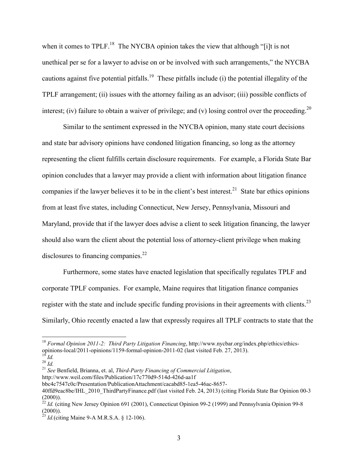when it comes to TPLF.<sup>18</sup> The NYCBA opinion takes the view that although "[i]t is not unethical per se for a lawyer to advise on or be involved with such arrangements," the NYCBA cautions against five potential pitfalls.<sup>19</sup> These pitfalls include (i) the potential illegality of the TPLF arrangement; (ii) issues with the attorney failing as an advisor; (iii) possible conflicts of interest; (iv) failure to obtain a waiver of privilege; and (v) losing control over the proceeding.<sup>20</sup>

Similar to the sentiment expressed in the NYCBA opinion, many state court decisions and state bar advisory opinions have condoned litigation financing, so long as the attorney representing the client fulfills certain disclosure requirements. For example, a Florida State Bar opinion concludes that a lawyer may provide a client with information about litigation finance companies if the lawyer believes it to be in the client's best interest.<sup>21</sup> State bar ethics opinions from at least five states, including Connecticut, New Jersey, Pennsylvania, Missouri and Maryland, provide that if the lawyer does advise a client to seek litigation financing, the lawyer should also warn the client about the potential loss of attorney-client privilege when making disclosures to financing companies.<sup>22</sup>

Furthermore, some states have enacted legislation that specifically regulates TPLF and corporate TPLF companies. For example, Maine requires that litigation finance companies register with the state and include specific funding provisions in their agreements with clients. $^{23}$ Similarly, Ohio recently enacted a law that expressly requires all TPLF contracts to state that the

<sup>18</sup> *Formal Opinion 2011-2: Third Party Litigation Financing*, http://www.nycbar.org/index.php/ethics/ethicsopinions-local/2011-opinions/1159-formal-opinion-2011-02 (last visited Feb. 27, 2013).

<sup>19</sup> *Id.*  $^{14}$ <br> $^{20}$   $^{14}$ .

<sup>21</sup> *See* Benfield, Brianna, et. al, *Third-Party Financing of Commercial Litigation*,

http://www.weil.com/files/Publication/17c770d9-514d-426d-aa1f

bbc4c7547c0c/Presentation/PublicationAttachment/cacabd85-1ea5-46ac-8657-

<sup>40</sup>ffd9eac8be/IHL\_2010\_ThirdPartyFinance.pdf (last visited Feb. 24, 2013) (citing Florida State Bar Opinion 00-3  $(2000)$ ).

<sup>&</sup>lt;sup>22</sup> *Id.* (citing New Jersey Opinion 691 (2001), Connecticut Opinion 99-2 (1999) and Pennsylvania Opinion 99-8  $(2000)$ ).

<sup>23</sup> *Id.*(citing Maine 9-A M.R.S.A. § 12-106).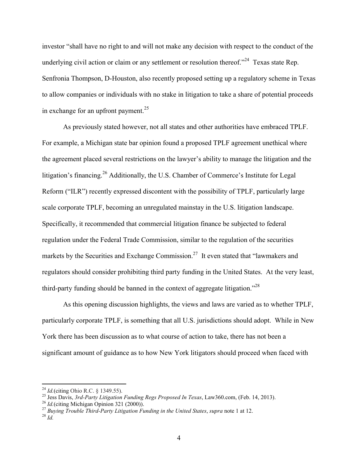investor "shall have no right to and will not make any decision with respect to the conduct of the underlying civil action or claim or any settlement or resolution thereof."<sup>24</sup> Texas state Rep. Senfronia Thompson, D-Houston, also recently proposed setting up a regulatory scheme in Texas to allow companies or individuals with no stake in litigation to take a share of potential proceeds in exchange for an upfront payment.<sup>25</sup>

As previously stated however, not all states and other authorities have embraced TPLF. For example, a Michigan state bar opinion found a proposed TPLF agreement unethical where the agreement placed several restrictions on the lawyer's ability to manage the litigation and the litigation's financing.<sup>26</sup> Additionally, the U.S. Chamber of Commerce's Institute for Legal Reform ("ILR") recently expressed discontent with the possibility of TPLF, particularly large scale corporate TPLF, becoming an unregulated mainstay in the U.S. litigation landscape. Specifically, it recommended that commercial litigation finance be subjected to federal regulation under the Federal Trade Commission, similar to the regulation of the securities markets by the Securities and Exchange Commission.<sup>27</sup> It even stated that "lawmakers and regulators should consider prohibiting third party funding in the United States. At the very least, third-party funding should be banned in the context of aggregate litigation.<sup> $28$ </sup>

As this opening discussion highlights, the views and laws are varied as to whether TPLF, particularly corporate TPLF, is something that all U.S. jurisdictions should adopt. While in New York there has been discussion as to what course of action to take, there has not been a significant amount of guidance as to how New York litigators should proceed when faced with

<sup>24</sup> *Id.*(citing Ohio R.C. § 1349.55).

<sup>25</sup> Jess Davis, *3rd-Party Litigation Funding Regs Proposed In Texas*, Law360.com, (Feb. 14, 2013).

<sup>26</sup> *Id.*(citing Michigan Opinion 321 (2000)).

<sup>27</sup> *Buying Trouble Third-Party Litigation Funding in the United States*, *supra* note 1 at 12.

 $^{28}$  *Id.*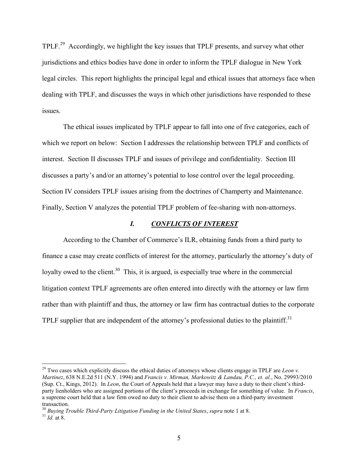TPLF.<sup>29</sup> Accordingly, we highlight the key issues that TPLF presents, and survey what other jurisdictions and ethics bodies have done in order to inform the TPLF dialogue in New York legal circles. This report highlights the principal legal and ethical issues that attorneys face when dealing with TPLF, and discusses the ways in which other jurisdictions have responded to these issues.

The ethical issues implicated by TPLF appear to fall into one of five categories, each of which we report on below: Section I addresses the relationship between TPLF and conflicts of interest. Section II discusses TPLF and issues of privilege and confidentiality. Section III discusses a party's and/or an attorney's potential to lose control over the legal proceeding. Section IV considers TPLF issues arising from the doctrines of Champerty and Maintenance. Finally, Section V analyzes the potential TPLF problem of fee-sharing with non-attorneys.

### *I. CONFLICTS OF INTEREST*

According to the Chamber of Commerce's ILR, obtaining funds from a third party to finance a case may create conflicts of interest for the attorney, particularly the attorney's duty of loyalty owed to the client.<sup>30</sup> This, it is argued, is especially true where in the commercial litigation context TPLF agreements are often entered into directly with the attorney or law firm rather than with plaintiff and thus, the attorney or law firm has contractual duties to the corporate TPLF supplier that are independent of the attorney's professional duties to the plaintiff.<sup>31</sup>

<sup>&</sup>lt;sup>29</sup> Two cases which explicitly discuss the ethical duties of attorneys whose clients engage in TPLF are *Leon v*. *Martinez*, 638 N.E.2d 511 (N.Y. 1994) and *Francis v. Mirman, Markowitz & Landau, P.C., et. al.*, No. 29993/2010 (Sup. Ct., Kings, 2012). In *Leon*, the Court of Appeals held that a lawyer may have a duty to their client's thirdparty lienholders who are assigned portions of the client's proceeds in exchange for something of value. In *Francis*, a supreme court held that a law firm owed no duty to their client to advise them on a third-party investment transaction.

<sup>30</sup> *Buying Trouble Third-Party Litigation Funding in the United States*, *supra* note 1 at 8.

 $^{31}$  *Id.* at 8.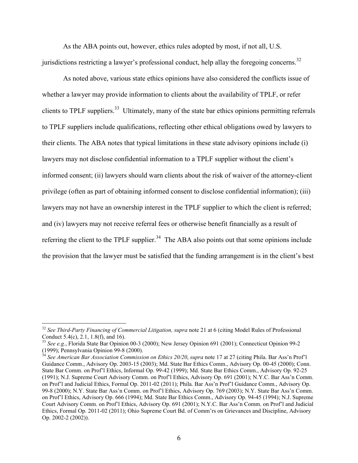As the ABA points out, however, ethics rules adopted by most, if not all, U.S. jurisdictions restricting a lawyer's professional conduct, help allay the foregoing concerns.<sup>32</sup>

As noted above, various state ethics opinions have also considered the conflicts issue of whether a lawyer may provide information to clients about the availability of TPLF, or refer clients to TPLF suppliers.<sup>33</sup> Ultimately, many of the state bar ethics opinions permitting referrals to TPLF suppliers include qualifications, reflecting other ethical obligations owed by lawyers to their clients. The ABA notes that typical limitations in these state advisory opinions include (i) lawyers may not disclose confidential information to a TPLF supplier without the client's informed consent; (ii) lawyers should warn clients about the risk of waiver of the attorney-client privilege (often as part of obtaining informed consent to disclose confidential information); (iii) lawyers may not have an ownership interest in the TPLF supplier to which the client is referred; and (iv) lawyers may not receive referral fees or otherwise benefit financially as a result of referring the client to the TPLF supplier.<sup>34</sup> The ABA also points out that some opinions include the provision that the lawyer must be satisfied that the funding arrangement is in the client's best

<sup>&</sup>lt;sup>32</sup> See Third-Party Financing of Commercial Litigation, supra note 21 at 6 (citing Model Rules of Professional Conduct 5.4(c), 2.1, 1.8(f), and 16).

<sup>33</sup> *See e.g.*, Florida State Bar Opinion 00-3 (2000); New Jersey Opinion 691 (2001); Connecticut Opinion 99-2 (1999); Pennsylvania Opinion 99-8 (2000).

<sup>34</sup> *See American Bar Association Commission on Ethics 20/20*, *supra* note 17 at 27 (citing Phila. Bar Ass'n Prof'l Guidance Comm., Advisory Op. 2003-15 (2003); Md. State Bar Ethics Comm., Advisory Op. 00-45 (2000); Conn. State Bar Comm. on Prof'l Ethics, Informal Op. 99-42 (1999); Md. State Bar Ethics Comm., Advisory Op. 92-25 (1991); N.J. Supreme Court Advisory Comm. on Prof'l Ethics, Advisory Op. 691 (2001); N.Y.C. Bar Ass'n Comm. on Prof'l and Judicial Ethics, Formal Op. 2011-02 (2011); Phila. Bar Ass'n Prof'l Guidance Comm., Advisory Op. 99-8 (2000); N.Y. State Bar Ass'n Comm. on Prof'l Ethics, Advisory Op. 769 (2003); N.Y. State Bar Ass'n Comm. on Prof'l Ethics, Advisory Op. 666 (1994); Md. State Bar Ethics Comm., Advisory Op. 94-45 (1994); N.J. Supreme Court Advisory Comm. on Prof'l Ethics, Advisory Op. 691 (2001); N.Y.C. Bar Ass'n Comm. on Prof'l and Judicial Ethics, Formal Op. 2011-02 (2011); Ohio Supreme Court Bd. of Comm'rs on Grievances and Discipline, Advisory Op. 2002-2 (2002)).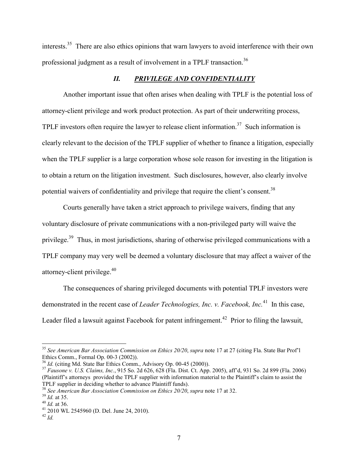interests.<sup>35</sup> There are also ethics opinions that warn lawyers to avoid interference with their own professional judgment as a result of involvement in a TPLF transaction.<sup>36</sup>

## *II. PRIVILEGE AND CONFIDENTIALITY*

Another important issue that often arises when dealing with TPLF is the potential loss of attorney-client privilege and work product protection. As part of their underwriting process, TPLF investors often require the lawyer to release client information.<sup>37</sup> Such information is clearly relevant to the decision of the TPLF supplier of whether to finance a litigation, especially when the TPLF supplier is a large corporation whose sole reason for investing in the litigation is to obtain a return on the litigation investment. Such disclosures, however, also clearly involve potential waivers of confidentiality and privilege that require the client's consent.<sup>38</sup>

Courts generally have taken a strict approach to privilege waivers, finding that any voluntary disclosure of private communications with a non-privileged party will waive the privilege.<sup>39</sup> Thus, in most jurisdictions, sharing of otherwise privileged communications with a TPLF company may very well be deemed a voluntary disclosure that may affect a waiver of the attorney-client privilege.<sup>40</sup>

The consequences of sharing privileged documents with potential TPLF investors were demonstrated in the recent case of *Leader Technologies, Inc. v. Facebook, Inc.*<sup>41</sup> In this case, Leader filed a lawsuit against Facebook for patent infringement.<sup>42</sup> Prior to filing the lawsuit,

<sup>35</sup> *See American Bar Association Commission on Ethics 20/20*, *supra* note 17 at 27 (citing Fla. State Bar Prof'l Ethics Comm., Formal Op. 00-3 (2002)).

<sup>&</sup>lt;sup>36</sup> *Id.* (citing Md. State Bar Ethics Comm., Advisory Op. 00-45 (2000)).

<sup>37</sup> *Fausone v. U.S. Claims, Inc.*, 915 So. 2d 626, 628 (Fla. Dist. Ct. App. 2005), aff'd, 931 So. 2d 899 (Fla. 2006) (Plaintiff's attorneys provided the TPLF supplier with information material to the Plaintiff's claim to assist the TPLF supplier in deciding whether to advance Plaintiff funds).

<sup>38</sup> *See American Bar Association Commission on Ethics 20/20*, *supra* note 17 at 32.

<sup>39</sup> *Id.* at 35.

<sup>40</sup> *Id.* at 36.

<sup>41</sup> 2010 WL 2545960 (D. Del. June 24, 2010).

 $^{42}$  *Id.*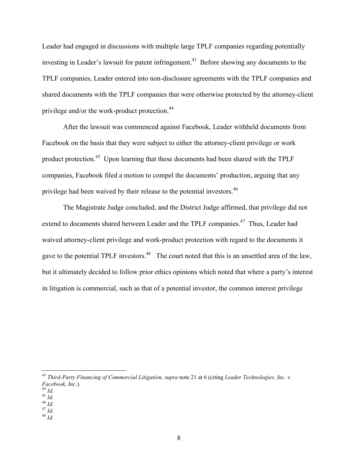Leader had engaged in discussions with multiple large TPLF companies regarding potentially investing in Leader's lawsuit for patent infringement.<sup>43</sup> Before showing any documents to the TPLF companies, Leader entered into non-disclosure agreements with the TPLF companies and shared documents with the TPLF companies that were otherwise protected by the attorney-client privilege and/or the work-product protection.<sup>44</sup>

After the lawsuit was commenced against Facebook, Leader withheld documents from Facebook on the basis that they were subject to either the attorney-client privilege or work product protection.<sup>45</sup> Upon learning that these documents had been shared with the TPLF companies, Facebook filed a motion to compel the documents' production, arguing that any privilege had been waived by their release to the potential investors.<sup>46</sup>

The Magistrate Judge concluded, and the District Judge affirmed, that privilege did not extend to documents shared between Leader and the TPLF companies.<sup>47</sup> Thus, Leader had waived attorney-client privilege and work-product protection with regard to the documents it gave to the potential TPLF investors.<sup>48</sup> The court noted that this is an unsettled area of the law, but it ultimately decided to follow prior ethics opinions which noted that where a party's interest in litigation is commercial, such as that of a potential investor, the common interest privilege

<sup>43</sup> *Third-Party Financing of Commercial Litigation, supra* note 21 at 6 (citing *Leader Technologies, Inc. v. Facebook, Inc.*).

 $\overline{a}$ 

<sup>47</sup> *Id.* <sup>48</sup> *Id.*

<sup>44</sup> *Id.*

 $^{45}$   $^{10}$ .

<sup>46</sup> *Id.*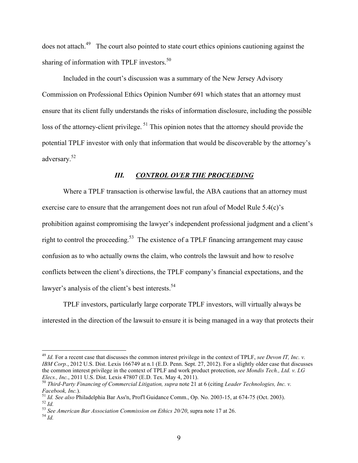does not attach.<sup>49</sup> The court also pointed to state court ethics opinions cautioning against the sharing of information with TPLF investors.<sup>50</sup>

Included in the court's discussion was a summary of the New Jersey Advisory Commission on Professional Ethics Opinion Number 691 which states that an attorney must ensure that its client fully understands the risks of information disclosure, including the possible loss of the attorney-client privilege.<sup>51</sup> This opinion notes that the attorney should provide the potential TPLF investor with only that information that would be discoverable by the attorney's adversary. 52

## *III. CONTROL OVER THE PROCEEDING*

Where a TPLF transaction is otherwise lawful, the ABA cautions that an attorney must exercise care to ensure that the arrangement does not run afoul of Model Rule 5.4(c)'s prohibition against compromising the lawyer's independent professional judgment and a client's right to control the proceeding.<sup>53</sup> The existence of a TPLF financing arrangement may cause confusion as to who actually owns the claim, who controls the lawsuit and how to resolve conflicts between the client's directions, the TPLF company's financial expectations, and the lawyer's analysis of the client's best interests.<sup>54</sup>

TPLF investors, particularly large corporate TPLF investors, will virtually always be interested in the direction of the lawsuit to ensure it is being managed in a way that protects their

<sup>49</sup> *Id.* For a recent case that discusses the common interest privilege in the context of TPLF, *see Devon IT, Inc. v. IBM Corp.*, 2012 U.S. Dist. Lexis 166749 at n.1 (E.D. Penn. Sept. 27, 2012). For a slightly older case that discusses the common interest privilege in the context of TPLF and work product protection, *see Mondis Tech., Ltd. v. LG Elecs., Inc.*, 2011 U.S. Dist. Lexis 47807 (E.D. Tex. May 4, 2011).

<sup>50</sup> *Third-Party Financing of Commercial Litigation, supra* note 21 at 6 (citing *Leader Technologies, Inc. v. Facebook, Inc.*).

<sup>51</sup> *Id. See also* Philadelphia Bar Ass'n, Prof'l Guidance Comm., Op. No. 2003-15, at 674-75 (Oct. 2003). <sup>52</sup> *Id.*

<sup>53</sup> *See American Bar Association Commission on Ethics 20/20*, supra note 17 at 26.

 $^{54}$  *Id.*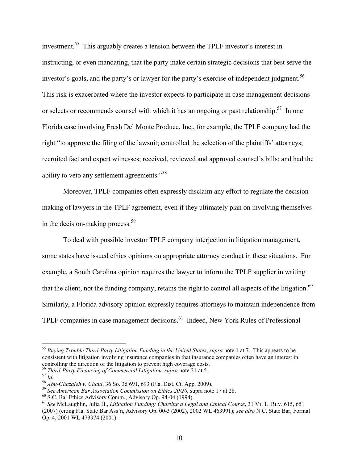investment.<sup>55</sup> This arguably creates a tension between the TPLF investor's interest in instructing, or even mandating, that the party make certain strategic decisions that best serve the investor's goals, and the party's or lawyer for the party's exercise of independent judgment. 56 This risk is exacerbated where the investor expects to participate in case management decisions or selects or recommends counsel with which it has an ongoing or past relationship.<sup>57</sup> In one Florida case involving Fresh Del Monte Produce, Inc., for example, the TPLF company had the right "to approve the filing of the lawsuit; controlled the selection of the plaintiffs' attorneys; recruited fact and expert witnesses; received, reviewed and approved counsel's bills; and had the ability to veto any settlement agreements."<sup>58</sup>

Moreover, TPLF companies often expressly disclaim any effort to regulate the decisionmaking of lawyers in the TPLF agreement, even if they ultimately plan on involving themselves in the decision-making process.<sup>59</sup>

To deal with possible investor TPLF company interjection in litigation management, some states have issued ethics opinions on appropriate attorney conduct in these situations. For example, a South Carolina opinion requires the lawyer to inform the TPLF supplier in writing that the client, not the funding company, retains the right to control all aspects of the litigation.<sup>60</sup> Similarly, a Florida advisory opinion expressly requires attorneys to maintain independence from TPLF companies in case management decisions.<sup>61</sup> Indeed, New York Rules of Professional

<sup>56</sup> *Third-Party Financing of Commercial Litigation, supra* note 21 at 5.

<sup>55</sup> *Buying Trouble Third-Party Litigation Funding in the United States*, *supra* note 1 at 7. This appears to be consistent with litigation involving insurance companies in that insurance companies often have an interest in controlling the direction of the litigation to prevent high coverage costs.

<sup>57</sup> *Id.*

<sup>58</sup> *Abu-Ghazaleh v. Chaul*, 36 So. 3d 691, 693 (Fla. Dist. Ct. App. 2009).

<sup>59</sup> *See American Bar Association Commission on Ethics 20/20*, supra note 17 at 28.

<sup>60</sup> S.C. Bar Ethics Advisory Comm., Advisory Op. 94-04 (1994).

<sup>61</sup> *See* McLaughlin, Julia H., *Litigation Funding: Charting a Legal and Ethical Course*, 31 VT. L. REV. 615, 651 (2007) (citing Fla. State Bar Ass'n, Advisory Op. 00-3 (2002), 2002 WL 463991); *see also* N.C. State Bar, Formal Op. 4, 2001 WL 473974 (2001).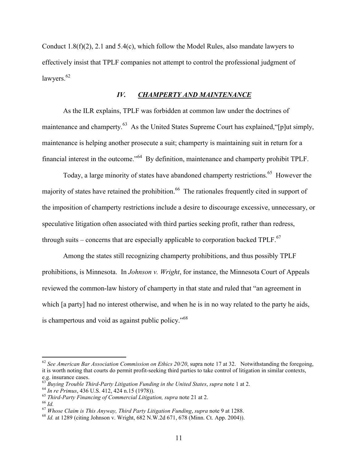Conduct 1.8(f)(2), 2.1 and 5.4(c), which follow the Model Rules, also mandate lawyers to effectively insist that TPLF companies not attempt to control the professional judgment of lawyers.<sup>62</sup>

#### *IV. CHAMPERTY AND MAINTENANCE*

As the ILR explains, TPLF was forbidden at common law under the doctrines of maintenance and champerty.<sup>63</sup> As the United States Supreme Court has explained, "[p]ut simply, maintenance is helping another prosecute a suit; champerty is maintaining suit in return for a financial interest in the outcome."<sup>64</sup> By definition, maintenance and champerty prohibit TPLF.

Today, a large minority of states have abandoned champerty restrictions.<sup>65</sup> However the majority of states have retained the prohibition.<sup>66</sup> The rationales frequently cited in support of the imposition of champerty restrictions include a desire to discourage excessive, unnecessary, or speculative litigation often associated with third parties seeking profit, rather than redress, through suits – concerns that are especially applicable to corporation backed TPLF. $^{67}$ 

Among the states still recognizing champerty prohibitions, and thus possibly TPLF prohibitions, is Minnesota. In *Johnson v. Wright*, for instance, the Minnesota Court of Appeals reviewed the common-law history of champerty in that state and ruled that "an agreement in which [a party] had no interest otherwise, and when he is in no way related to the party he aids, is champertous and void as against public policy."<sup>68</sup>

<sup>&</sup>lt;sup>62</sup> See American Bar Association Commission on Ethics 20/20, supra note 17 at 32. Notwithstanding the foregoing, it is worth noting that courts do permit profit-seeking third parties to take control of litigation in similar contexts, e.g. insurance cases.

<sup>63</sup> *Buying Trouble Third-Party Litigation Funding in the United States*, *supra* note 1 at 2.

<sup>64</sup> *In re Primus*, 436 U.S. 412, 424 n.15 (1978)).

<sup>65</sup> *Third-Party Financing of Commercial Litigation, supra* note 21 at 2.

<sup>66</sup> *Id.*

<sup>67</sup> *Whose Claim is This Anyway, Third Party Litigation Funding*, *supra* note 9 at 1288.

<sup>68</sup> *Id.* at 1289 (citing Johnson v. Wright, 682 N.W.2d 671, 678 (Minn. Ct. App. 2004)).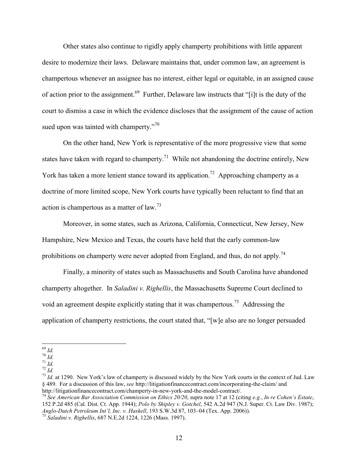Other states also continue to rigidly apply champerty prohibitions with little apparent desire to modernize their laws. Delaware maintains that, under common law, an agreement is champertous whenever an assignee has no interest, either legal or equitable, in an assigned cause of action prior to the assignment.<sup>69</sup> Further, Delaware law instructs that "[i]t is the duty of the court to dismiss a case in which the evidence discloses that the assignment of the cause of action sued upon was tainted with champerty."<sup>70</sup>

On the other hand, New York is representative of the more progressive view that some states have taken with regard to champerty.<sup>71</sup> While not abandoning the doctrine entirely, New York has taken a more lenient stance toward its application.<sup>72</sup> Approaching champerty as a doctrine of more limited scope, New York courts have typically been reluctant to find that an action is champertous as a matter of law.<sup>73</sup>

Moreover, in some states, such as Arizona, California, Connecticut, New Jersey, New Hampshire, New Mexico and Texas, the courts have held that the early common-law prohibitions on champerty were never adopted from England, and thus, do not apply.<sup>74</sup>

Finally, a minority of states such as Massachusetts and South Carolina have abandoned champerty altogether. In *Saladini v. Righellis*, the Massachusetts Supreme Court declined to void an agreement despite explicitly stating that it was champertous.<sup>75</sup> Addressing the application of champerty restrictions, the court stated that, "[w]e also are no longer persuaded

<sup>69</sup> *Id.*

 $\overline{70}$  *Id.* 

<sup>71</sup> *Id.*

<sup>72</sup> *Id.*

<sup>&</sup>lt;sup>73</sup> *Id.* at 1290. New York's law of champerty is discussed widely by the New York courts in the context of Jud. Law § 489. For a discussion of this law, *see* http://litigationfinancecontract.com/incorporating-the-claim/ and http://litigationfinancecontract.com/champerty-in-new-york-and-the-model-contract/.

<sup>74</sup> *See American Bar Association Commission on Ethics 20/20*, supra note 17 at 12 (citing *e.g.*, *In re Cohen's Estate*, 152 P.2d 485 (Cal. Dist. Ct. App. 1944); *Polo by Shipley v. Gotchel*, 542 A.2d 947 (N.J. Super. Ct. Law Div. 1987); *Anglo-Dutch Petroleum Int'l, Inc. v. Haskell*, 193 S.W.3d 87, 103–04 (Tex. App. 2006)).

<sup>75</sup> *Saladini v. Righellis*, 687 N.E.2d 1224, 1226 (Mass. 1997).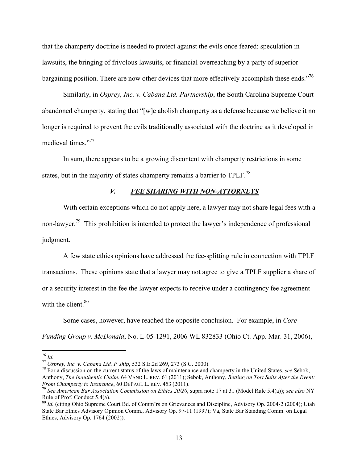that the champerty doctrine is needed to protect against the evils once feared: speculation in lawsuits, the bringing of frivolous lawsuits, or financial overreaching by a party of superior bargaining position. There are now other devices that more effectively accomplish these ends."<sup>76</sup>

Similarly, in *Osprey, Inc. v. Cabana Ltd. Partnership*, the South Carolina Supreme Court abandoned champerty, stating that "[w]e abolish champerty as a defense because we believe it no longer is required to prevent the evils traditionally associated with the doctrine as it developed in medieval times."<sup>77</sup>

In sum, there appears to be a growing discontent with champerty restrictions in some states, but in the majority of states champerty remains a barrier to TPLF.<sup>78</sup>

## *V. FEE SHARING WITH NON-ATTORNEYS*

With certain exceptions which do not apply here, a lawyer may not share legal fees with a non-lawyer.<sup>79</sup> This prohibition is intended to protect the lawyer's independence of professional judgment.

A few state ethics opinions have addressed the fee-splitting rule in connection with TPLF transactions. These opinions state that a lawyer may not agree to give a TPLF supplier a share of or a security interest in the fee the lawyer expects to receive under a contingency fee agreement with the client  $80$ 

Some cases, however, have reached the opposite conclusion. For example, in *Core Funding Group v. McDonald*, No. L-05-1291, 2006 WL 832833 (Ohio Ct. App. Mar. 31, 2006),

<sup>76</sup> *Id.*

<sup>77</sup> *Osprey, Inc. v. Cabana Ltd. P'ship*, 532 S.E.2d 269, 273 (S.C. 2000).

<sup>78</sup> For a discussion on the current status of the laws of maintenance and champerty in the United States, *see* Sebok, Anthony, *The Inauthentic Claim*, 64 VAND L. REV. 61 (2011); Sebok, Anthony, *Betting on Tort Suits After the Event: From Champerty to Insurance*, 60 DEPAUL L. REV. 453 (2011).

<sup>79</sup> *See American Bar Association Commission on Ethics 20/20*, supra note 17 at 31 (Model Rule 5.4(a)); *see also* NY Rule of Prof. Conduct 5.4(a).

<sup>80</sup> *Id.* (citing Ohio Supreme Court Bd. of Comm'rs on Grievances and Discipline, Advisory Op. 2004-2 (2004); Utah State Bar Ethics Advisory Opinion Comm., Advisory Op. 97-11 (1997); Va, State Bar Standing Comm. on Legal Ethics, Advisory Op. 1764 (2002)).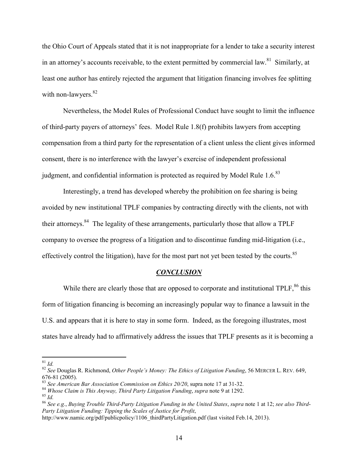the Ohio Court of Appeals stated that it is not inappropriate for a lender to take a security interest in an attorney's accounts receivable, to the extent permitted by commercial law.<sup>81</sup> Similarly, at least one author has entirely rejected the argument that litigation financing involves fee splitting with non-lawyers. $82$ 

Nevertheless, the Model Rules of Professional Conduct have sought to limit the influence of third-party payers of attorneys' fees. Model Rule 1.8(f) prohibits lawyers from accepting compensation from a third party for the representation of a client unless the client gives informed consent, there is no interference with the lawyer's exercise of independent professional judgment, and confidential information is protected as required by Model Rule  $1.6<sup>83</sup>$ 

Interestingly, a trend has developed whereby the prohibition on fee sharing is being avoided by new institutional TPLF companies by contracting directly with the clients, not with their attorneys.<sup>84</sup> The legality of these arrangements, particularly those that allow a TPLF company to oversee the progress of a litigation and to discontinue funding mid-litigation (i.e., effectively control the litigation), have for the most part not yet been tested by the courts.<sup>85</sup>

#### *CONCLUSION*

While there are clearly those that are opposed to corporate and institutional TPLF,<sup>86</sup> this form of litigation financing is becoming an increasingly popular way to finance a lawsuit in the U.S. and appears that it is here to stay in some form. Indeed, as the foregoing illustrates, most states have already had to affirmatively address the issues that TPLF presents as it is becoming a

<sup>81</sup> *Id.*

<sup>82</sup> *See* Douglas R. Richmond, *Other People's Money: The Ethics of Litigation Funding*, 56 MERCER L. REV. 649, 676-81 (2005).

See American Bar Association Commission on Ethics 20/20, supra note 17 at 31-32.

<sup>84</sup> *Whose Claim is This Anyway, Third Party Litigation Funding*, *supra* note 9 at 1292.

<sup>85</sup> *Id.*

<sup>86</sup> *See e.g.*, *Buying Trouble Third-Party Litigation Funding in the United States*, *supra* note 1 at 12; *see also Third*-*Party Litigation Funding: Tipping the Scales of Justice for Profit*,

http://www.namic.org/pdf/publicpolicy/1106\_thirdPartyLitigation.pdf (last visited Feb.14, 2013).